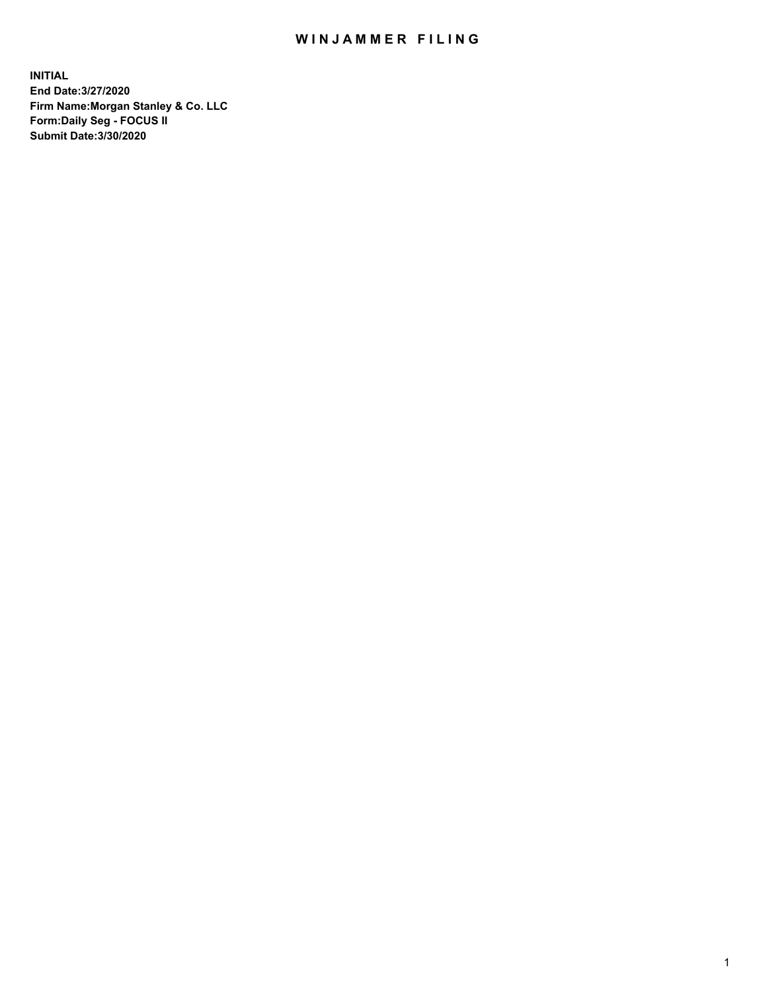## WIN JAMMER FILING

**INITIAL End Date:3/27/2020 Firm Name:Morgan Stanley & Co. LLC Form:Daily Seg - FOCUS II Submit Date:3/30/2020**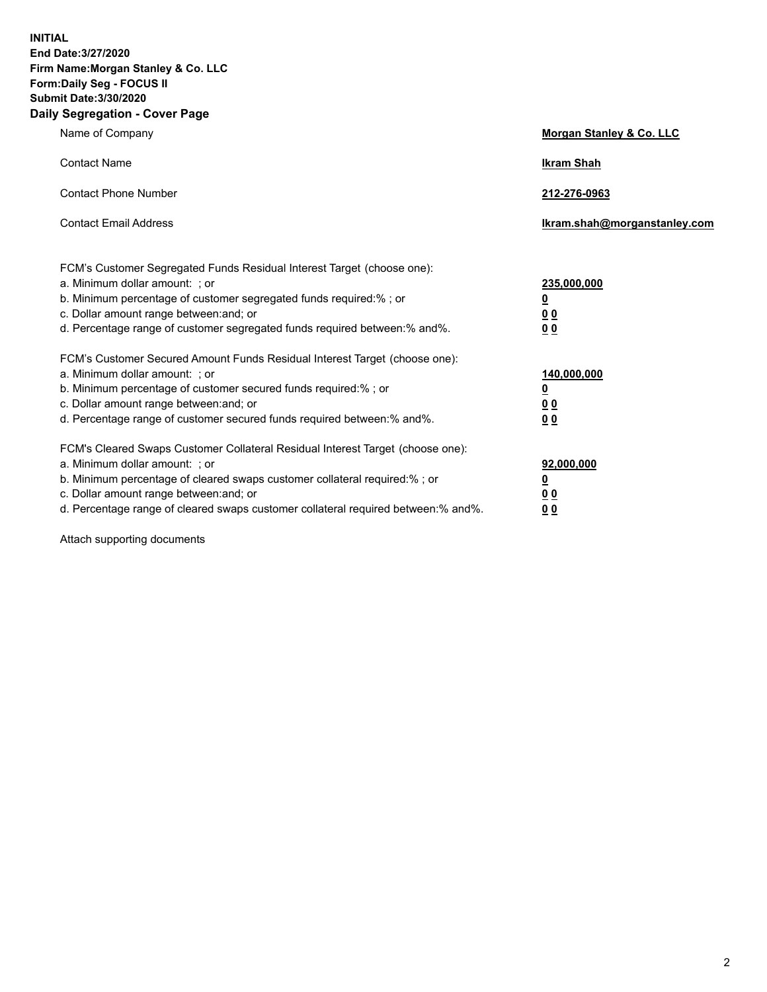**INITIAL End Date:3/27/2020 Firm Name:Morgan Stanley & Co. LLC Form:Daily Seg - FOCUS II Submit Date:3/30/2020 Daily Segregation - Cover Page**

| Name of Company                                                                                                                                                                                                                                                                                                                | Morgan Stanley & Co. LLC                                |
|--------------------------------------------------------------------------------------------------------------------------------------------------------------------------------------------------------------------------------------------------------------------------------------------------------------------------------|---------------------------------------------------------|
| <b>Contact Name</b>                                                                                                                                                                                                                                                                                                            | <b>Ikram Shah</b>                                       |
| <b>Contact Phone Number</b>                                                                                                                                                                                                                                                                                                    | 212-276-0963                                            |
| <b>Contact Email Address</b>                                                                                                                                                                                                                                                                                                   | Ikram.shah@morganstanley.com                            |
| FCM's Customer Segregated Funds Residual Interest Target (choose one):<br>a. Minimum dollar amount: ; or<br>b. Minimum percentage of customer segregated funds required:% ; or<br>c. Dollar amount range between: and; or<br>d. Percentage range of customer segregated funds required between:% and%.                         | 235,000,000<br><u>0</u><br><u>00</u><br><u>00</u>       |
| FCM's Customer Secured Amount Funds Residual Interest Target (choose one):<br>a. Minimum dollar amount: ; or<br>b. Minimum percentage of customer secured funds required:%; or<br>c. Dollar amount range between: and; or<br>d. Percentage range of customer secured funds required between:% and%.                            | 140,000,000<br><u>0</u><br><u>0 0</u><br>0 <sub>0</sub> |
| FCM's Cleared Swaps Customer Collateral Residual Interest Target (choose one):<br>a. Minimum dollar amount: ; or<br>b. Minimum percentage of cleared swaps customer collateral required:% ; or<br>c. Dollar amount range between: and; or<br>d. Percentage range of cleared swaps customer collateral required between:% and%. | 92,000,000<br><u>0</u><br><u>00</u><br>00               |

Attach supporting documents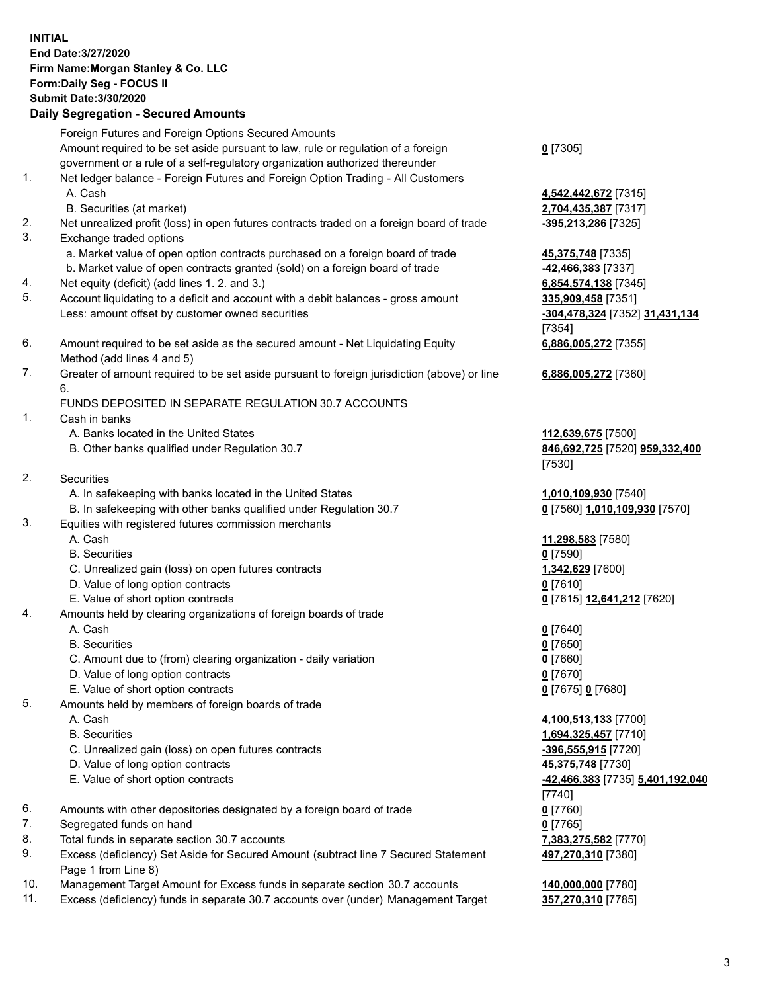## **INITIAL End Date:3/27/2020 Firm Name:Morgan Stanley & Co. LLC Form:Daily Seg - FOCUS II Submit Date:3/30/2020 Daily Segregation - Secured Amounts** Foreign Futures and Foreign Options Secured Amounts Amount required to be set aside pursuant to law, rule or regulation of a foreign government or a rule of a self-regulatory organization authorized thereunder **0** [7305] 1. Net ledger balance - Foreign Futures and Foreign Option Trading - All Customers A. Cash **4,542,442,672** [7315] B. Securities (at market) **2,704,435,387** [7317] 2. Net unrealized profit (loss) in open futures contracts traded on a foreign board of trade **-395,213,286** [7325] 3. Exchange traded options a. Market value of open option contracts purchased on a foreign board of trade **45,375,748** [7335] b. Market value of open contracts granted (sold) on a foreign board of trade **-42,466,383** [7337] 4. Net equity (deficit) (add lines 1. 2. and 3.) **6,854,574,138** [7345] 5. Account liquidating to a deficit and account with a debit balances - gross amount **335,909,458** [7351] Less: amount offset by customer owned securities **-304,478,324** [7352] **31,431,134** [7354] 6. Amount required to be set aside as the secured amount - Net Liquidating Equity Method (add lines 4 and 5) **6,886,005,272** [7355] 7. Greater of amount required to be set aside pursuant to foreign jurisdiction (above) or line 6. **6,886,005,272** [7360] FUNDS DEPOSITED IN SEPARATE REGULATION 30.7 ACCOUNTS 1. Cash in banks A. Banks located in the United States **112,639,675** [7500] B. Other banks qualified under Regulation 30.7 **846,692,725** [7520] **959,332,400** [7530] 2. Securities A. In safekeeping with banks located in the United States **1,010,109,930** [7540] B. In safekeeping with other banks qualified under Regulation 30.7 **0** [7560] **1,010,109,930** [7570] 3. Equities with registered futures commission merchants A. Cash **11,298,583** [7580] B. Securities **0** [7590] C. Unrealized gain (loss) on open futures contracts **1,342,629** [7600] D. Value of long option contracts **0** [7610] E. Value of short option contracts **0** [7615] **12,641,212** [7620] 4. Amounts held by clearing organizations of foreign boards of trade A. Cash **0** [7640] B. Securities **0** [7650] C. Amount due to (from) clearing organization - daily variation **0** [7660] D. Value of long option contracts **0** [7670] E. Value of short option contracts **0** [7675] **0** [7680] 5. Amounts held by members of foreign boards of trade A. Cash **4,100,513,133** [7700] B. Securities **1,694,325,457** [7710] C. Unrealized gain (loss) on open futures contracts **-396,555,915** [7720] D. Value of long option contracts **45,375,748** [7730] E. Value of short option contracts **-42,466,383** [7735] **5,401,192,040** [7740] 6. Amounts with other depositories designated by a foreign board of trade **0** [7760] 7. Segregated funds on hand **0** [7765] 8. Total funds in separate section 30.7 accounts **7,383,275,582** [7770] 9. Excess (deficiency) Set Aside for Secured Amount (subtract line 7 Secured Statement Page 1 from Line 8) **497,270,310** [7380]

- 10. Management Target Amount for Excess funds in separate section 30.7 accounts **140,000,000** [7780]
- 11. Excess (deficiency) funds in separate 30.7 accounts over (under) Management Target **357,270,310** [7785]

3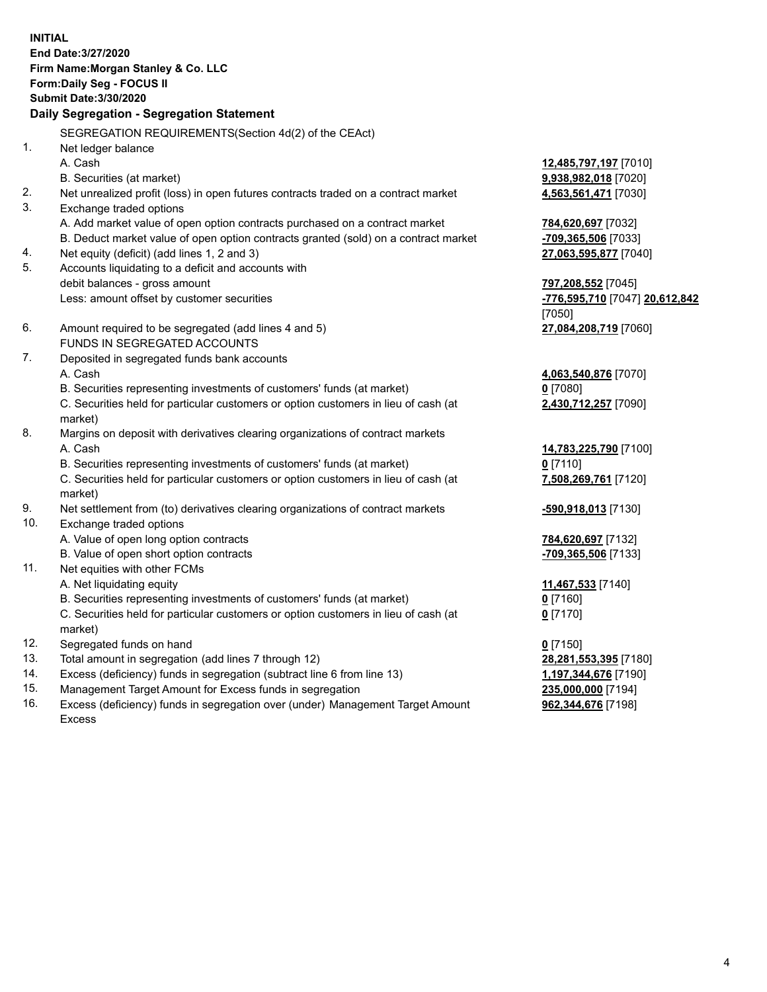**INITIAL End Date:3/27/2020 Firm Name:Morgan Stanley & Co. LLC Form:Daily Seg - FOCUS II Submit Date:3/30/2020 Daily Segregation - Segregation Statement** SEGREGATION REQUIREMENTS(Section 4d(2) of the CEAct) 1. Net ledger balance A. Cash **12,485,797,197** [7010] B. Securities (at market) **9,938,982,018** [7020] 2. Net unrealized profit (loss) in open futures contracts traded on a contract market **4,563,561,471** [7030] 3. Exchange traded options A. Add market value of open option contracts purchased on a contract market **784,620,697** [7032] B. Deduct market value of open option contracts granted (sold) on a contract market **-709,365,506** [7033] 4. Net equity (deficit) (add lines 1, 2 and 3) **27,063,595,877** [7040] 5. Accounts liquidating to a deficit and accounts with debit balances - gross amount **797,208,552** [7045] Less: amount offset by customer securities **-776,595,710** [7047] **20,612,842** [7050] 6. Amount required to be segregated (add lines 4 and 5) **27,084,208,719** [7060] FUNDS IN SEGREGATED ACCOUNTS 7. Deposited in segregated funds bank accounts A. Cash **4,063,540,876** [7070] B. Securities representing investments of customers' funds (at market) **0** [7080] C. Securities held for particular customers or option customers in lieu of cash (at market) **2,430,712,257** [7090] 8. Margins on deposit with derivatives clearing organizations of contract markets A. Cash **14,783,225,790** [7100] B. Securities representing investments of customers' funds (at market) **0** [7110] C. Securities held for particular customers or option customers in lieu of cash (at market) **7,508,269,761** [7120] 9. Net settlement from (to) derivatives clearing organizations of contract markets **-590,918,013** [7130] 10. Exchange traded options A. Value of open long option contracts **784,620,697** [7132] B. Value of open short option contracts **-709,365,506** [7133] 11. Net equities with other FCMs A. Net liquidating equity **11,467,533** [7140] B. Securities representing investments of customers' funds (at market) **0** [7160] C. Securities held for particular customers or option customers in lieu of cash (at market) **0** [7170] 12. Segregated funds on hand **0** [7150] 13. Total amount in segregation (add lines 7 through 12) **28,281,553,395** [7180] 14. Excess (deficiency) funds in segregation (subtract line 6 from line 13) **1,197,344,676** [7190] 15. Management Target Amount for Excess funds in segregation **235,000,000** [7194]

16. Excess (deficiency) funds in segregation over (under) Management Target Amount Excess

**962,344,676** [7198]